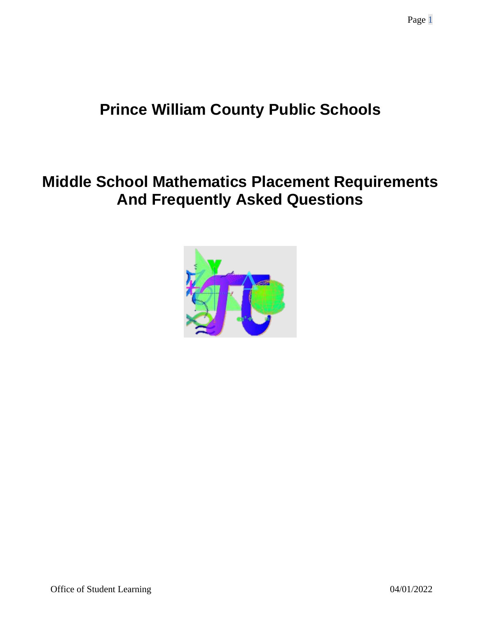# **Prince William County Public Schools**

# **Middle School Mathematics Placement Requirements And Frequently Asked Questions**

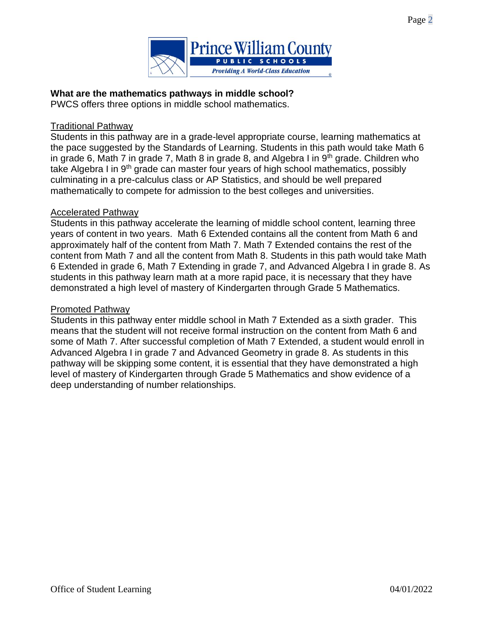



### **What are the mathematics pathways in middle school?**

PWCS offers three options in middle school mathematics.

#### Traditional Pathway

Students in this pathway are in a grade-level appropriate course, learning mathematics at the pace suggested by the Standards of Learning. Students in this path would take Math 6 in grade 6, Math 7 in grade 7, Math 8 in grade 8, and Algebra I in  $9<sup>th</sup>$  grade. Children who take Algebra I in 9<sup>th</sup> grade can master four years of high school mathematics, possibly culminating in a pre-calculus class or AP Statistics, and should be well prepared mathematically to compete for admission to the best colleges and universities.

#### Accelerated Pathway

Students in this pathway accelerate the learning of middle school content, learning three years of content in two years. Math 6 Extended contains all the content from Math 6 and approximately half of the content from Math 7. Math 7 Extended contains the rest of the content from Math 7 and all the content from Math 8. Students in this path would take Math 6 Extended in grade 6, Math 7 Extending in grade 7, and Advanced Algebra I in grade 8. As students in this pathway learn math at a more rapid pace, it is necessary that they have demonstrated a high level of mastery of Kindergarten through Grade 5 Mathematics.

#### Promoted Pathway

Students in this pathway enter middle school in Math 7 Extended as a sixth grader. This means that the student will not receive formal instruction on the content from Math 6 and some of Math 7. After successful completion of Math 7 Extended, a student would enroll in Advanced Algebra I in grade 7 and Advanced Geometry in grade 8. As students in this pathway will be skipping some content, it is essential that they have demonstrated a high level of mastery of Kindergarten through Grade 5 Mathematics and show evidence of a deep understanding of number relationships.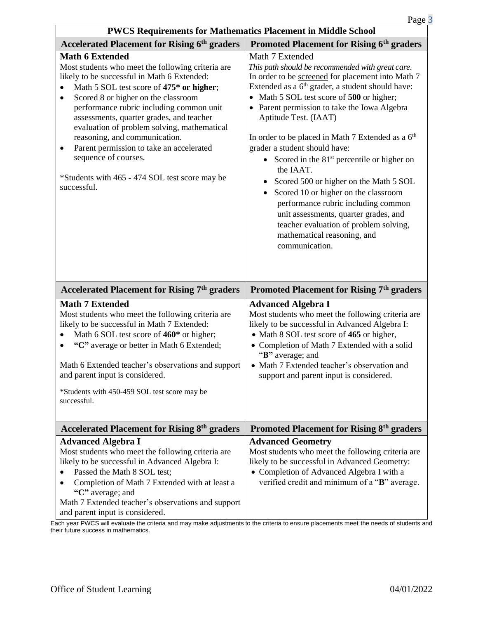| <b>PWCS Requirements for Mathematics Placement in Middle School</b>                                                                                                                                                                                                                                                                                                                                                                                                                                                                                      |                                                                                                                                                                                                                                                                                                                                                                                                                                                                                                                                                                                                                                                                                                                                |  |  |
|----------------------------------------------------------------------------------------------------------------------------------------------------------------------------------------------------------------------------------------------------------------------------------------------------------------------------------------------------------------------------------------------------------------------------------------------------------------------------------------------------------------------------------------------------------|--------------------------------------------------------------------------------------------------------------------------------------------------------------------------------------------------------------------------------------------------------------------------------------------------------------------------------------------------------------------------------------------------------------------------------------------------------------------------------------------------------------------------------------------------------------------------------------------------------------------------------------------------------------------------------------------------------------------------------|--|--|
| <b>Accelerated Placement for Rising 6th graders</b>                                                                                                                                                                                                                                                                                                                                                                                                                                                                                                      | <b>Promoted Placement for Rising 6th graders</b>                                                                                                                                                                                                                                                                                                                                                                                                                                                                                                                                                                                                                                                                               |  |  |
| <b>Math 6 Extended</b><br>Most students who meet the following criteria are<br>likely to be successful in Math 6 Extended:<br>Math 5 SOL test score of 475 <sup>*</sup> or higher;<br>Scored 8 or higher on the classroom<br>$\bullet$<br>performance rubric including common unit<br>assessments, quarter grades, and teacher<br>evaluation of problem solving, mathematical<br>reasoning, and communication.<br>Parent permission to take an accelerated<br>٠<br>sequence of courses.<br>*Students with 465 - 474 SOL test score may be<br>successful. | Math 7 Extended<br>This path should be recommended with great care.<br>In order to be screened for placement into Math 7<br>Extended as a 6 <sup>th</sup> grader, a student should have:<br>Math 5 SOL test score of 500 or higher;<br>Parent permission to take the Iowa Algebra<br>Aptitude Test. (IAAT)<br>In order to be placed in Math 7 Extended as a $6th$<br>grader a student should have:<br>• Scored in the $81st$ percentile or higher on<br>the IAAT.<br>Scored 500 or higher on the Math 5 SOL<br>Scored 10 or higher on the classroom<br>performance rubric including common<br>unit assessments, quarter grades, and<br>teacher evaluation of problem solving,<br>mathematical reasoning, and<br>communication. |  |  |
| Accelerated Placement for Rising 7th graders                                                                                                                                                                                                                                                                                                                                                                                                                                                                                                             | Promoted Placement for Rising 7 <sup>th</sup> graders                                                                                                                                                                                                                                                                                                                                                                                                                                                                                                                                                                                                                                                                          |  |  |
| <b>Math 7 Extended</b><br>Most students who meet the following criteria are<br>likely to be successful in Math 7 Extended:<br>Math 6 SOL test score of 460 <sup>*</sup> or higher;<br>"C" average or better in Math 6 Extended;<br>Math 6 Extended teacher's observations and support<br>and parent input is considered.<br>*Students with 450-459 SOL test score may be<br>successful.                                                                                                                                                                  | <b>Advanced Algebra I</b><br>Most students who meet the following criteria are<br>likely to be successful in Advanced Algebra I:<br>• Math 8 SOL test score of 465 or higher,<br>• Completion of Math 7 Extended with a solid<br>"B" average; and<br>• Math 7 Extended teacher's observation and<br>support and parent input is considered.                                                                                                                                                                                                                                                                                                                                                                                    |  |  |
| <b>Accelerated Placement for Rising 8th graders</b>                                                                                                                                                                                                                                                                                                                                                                                                                                                                                                      | <b>Promoted Placement for Rising 8th graders</b>                                                                                                                                                                                                                                                                                                                                                                                                                                                                                                                                                                                                                                                                               |  |  |
| <b>Advanced Algebra I</b><br>Most students who meet the following criteria are<br>likely to be successful in Advanced Algebra I:<br>Passed the Math 8 SOL test;<br>Completion of Math 7 Extended with at least a<br>"C" average; and<br>Math 7 Extended teacher's observations and support<br>and parent input is considered.                                                                                                                                                                                                                            | <b>Advanced Geometry</b><br>Most students who meet the following criteria are<br>likely to be successful in Advanced Geometry:<br>• Completion of Advanced Algebra I with a<br>verified credit and minimum of a "B" average.                                                                                                                                                                                                                                                                                                                                                                                                                                                                                                   |  |  |

#### Each year PWCS will evaluate the criteria and may make adjustments to the criteria to ensure placements meet the needs of students and their future success in mathematics.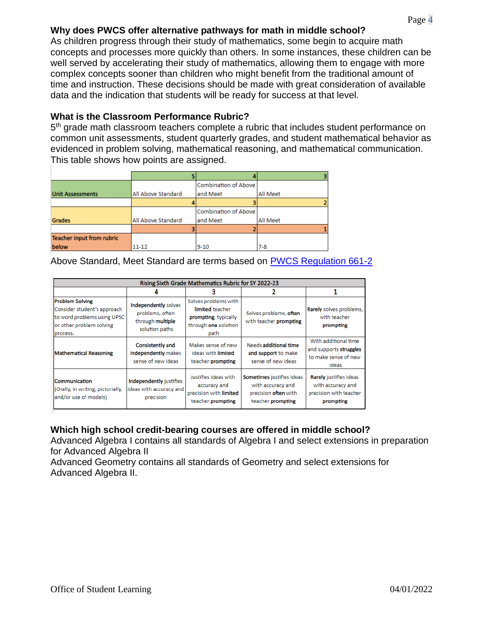# **Why does PWCS offer alternative pathways for math in middle school?**

As children progress through their study of mathematics, some begin to acquire math concepts and processes more quickly than others. In some instances, these children can be well served by accelerating their study of mathematics, allowing them to engage with more complex concepts sooner than children who might benefit from the traditional amount of time and instruction. These decisions should be made with great consideration of available data and the indication that students will be ready for success at that level.

#### **What is the Classroom Performance Rubric?**

5<sup>th</sup> grade math classroom teachers complete a rubric that includes student performance on common unit assessments, student quarterly grades, and student mathematical behavior as evidenced in problem solving, mathematical reasoning, and mathematical communication. This table shows how points are assigned.

|                                  |                    | Combination of Above |                 |
|----------------------------------|--------------------|----------------------|-----------------|
| <b>Unit Assessments</b>          | All Above Standard | and Meet             | All Meet        |
|                                  |                    |                      |                 |
|                                  |                    | Combination of Above |                 |
| <b>Grades</b>                    | All Above Standard | and Meet             | <b>All Meet</b> |
|                                  |                    |                      |                 |
| <b>Teacher input from rubric</b> |                    |                      |                 |
| below                            | $11 - 12$          | $9-10$               | $7-8$           |

Above Standard, Meet Standard are terms based on [PWCS Regulation 661-2](https://go.boarddocs.com/vsba/pwcs/Board.nsf/files/BLK7NB1A6826/$file/Regulation%20661-2-Attachment%20II.pdf)

| Rising Sixth Grade Mathematics Rubric for SY 2022-23                                                                         |                                                                               |                                                                                                 |                                                                                             |                                                                                    |  |  |
|------------------------------------------------------------------------------------------------------------------------------|-------------------------------------------------------------------------------|-------------------------------------------------------------------------------------------------|---------------------------------------------------------------------------------------------|------------------------------------------------------------------------------------|--|--|
|                                                                                                                              |                                                                               |                                                                                                 |                                                                                             |                                                                                    |  |  |
| <b>Problem Solving</b><br>Consider student's approach<br>to word problems using UPSC<br>or other problem solving<br>process. | Independently solves<br>problems, often<br>through multiple<br>solution paths | Solves problems with<br>limited teacher<br>prompting, typically<br>through one solution<br>path | Solves problems, often<br>with teacher prompting                                            | Rarely solves problems,<br>with teacher<br>prompting                               |  |  |
| <b>Mathematical Reasoning</b>                                                                                                | <b>Consistently and</b><br>independently makes<br>sense of new ideas          | Makes sense of new<br>ideas with limited<br>teacher prompting                                   | Needs additional time<br>and support to make<br>sense of new ideas                          | With additional time<br>and supports struggles<br>to make sense of new<br>ideas    |  |  |
| Communication<br>(Orally, in writing, pictorially,<br>and/or use of models)                                                  | Independently justifies<br>ideas with accuracy and<br>precision               | Justifies ideas with<br>accuracy and<br>precision with limited<br>teacher prompting             | Sometimes justifies ideas<br>with accuracy and<br>precision often with<br>teacher prompting | Rarely justifies ideas<br>with accuracy and<br>precision with teacher<br>prompting |  |  |

# **Which high school credit-bearing courses are offered in middle school?**

Advanced Algebra I contains all standards of Algebra I and select extensions in preparation for Advanced Algebra II

Advanced Geometry contains all standards of Geometry and select extensions for Advanced Algebra II.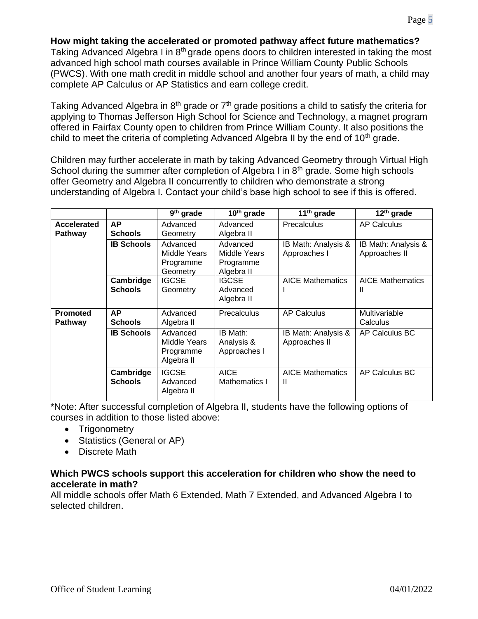Taking Advanced Algebra I in 8<sup>th</sup> grade opens doors to children interested in taking the most advanced high school math courses available in Prince William County Public Schools (PWCS). With one math credit in middle school and another four years of math, a child may complete AP Calculus or AP Statistics and earn college credit.

Taking Advanced Algebra in  $8<sup>th</sup>$  grade or  $7<sup>th</sup>$  grade positions a child to satisfy the criteria for applying to Thomas Jefferson High School for Science and Technology, a magnet program offered in Fairfax County open to children from Prince William County. It also positions the child to meet the criteria of completing Advanced Algebra II by the end of  $10<sup>th</sup>$  grade.

Children may further accelerate in math by taking Advanced Geometry through Virtual High School during the summer after completion of Algebra I in 8<sup>th</sup> grade. Some high schools offer Geometry and Algebra II concurrently to children who demonstrate a strong understanding of Algebra I. Contact your child's base high school to see if this is offered.

|                               |                             | $\overline{9}$ <sup>th</sup> grade                  | $10th$ grade                                        | $11th$ grade                         | $12th$ grade                         |
|-------------------------------|-----------------------------|-----------------------------------------------------|-----------------------------------------------------|--------------------------------------|--------------------------------------|
| Accelerated<br><b>Pathway</b> | <b>AP</b><br><b>Schools</b> | Advanced<br>Geometry                                | Advanced<br>Algebra II                              | Precalculus                          | <b>AP Calculus</b>                   |
|                               | <b>IB Schools</b>           | Advanced<br>Middle Years<br>Programme<br>Geometry   | Advanced<br>Middle Years<br>Programme<br>Algebra II | IB Math: Analysis &<br>Approaches I  | IB Math: Analysis &<br>Approaches II |
|                               | Cambridge<br><b>Schools</b> | <b>IGCSE</b><br>Geometry                            | <b>IGCSE</b><br>Advanced<br>Algebra II              | <b>AICE Mathematics</b>              | <b>AICE Mathematics</b><br>Ш         |
| <b>Promoted</b><br>Pathway    | AP<br><b>Schools</b>        | Advanced<br>Algebra II                              | Precalculus                                         | AP Calculus                          | Multivariable<br>Calculus            |
|                               | <b>IB Schools</b>           | Advanced<br>Middle Years<br>Programme<br>Algebra II | IB Math:<br>Analysis &<br>Approaches I              | IB Math: Analysis &<br>Approaches II | AP Calculus BC                       |
|                               | Cambridge<br><b>Schools</b> | <b>IGCSE</b><br>Advanced<br>Algebra II              | <b>AICE</b><br>Mathematics I                        | <b>AICE Mathematics</b><br>Ш         | AP Calculus BC                       |

\*Note: After successful completion of Algebra II, students have the following options of courses in addition to those listed above:

- Trigonometry
- Statistics (General or AP)
- Discrete Math

#### **Which PWCS schools support this acceleration for children who show the need to accelerate in math?**

All middle schools offer Math 6 Extended, Math 7 Extended, and Advanced Algebra I to selected children.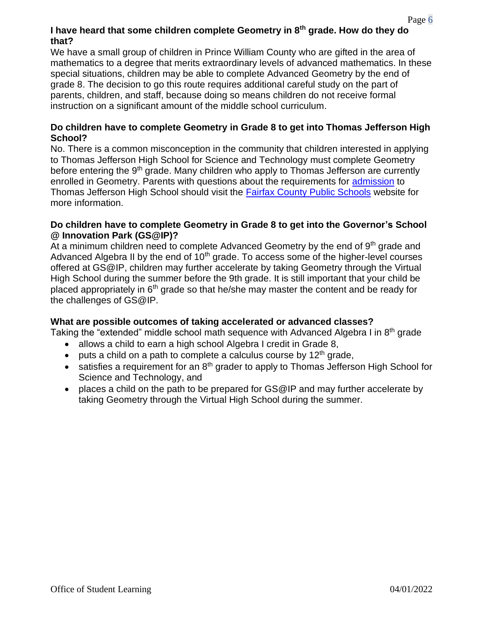# **I have heard that some children complete Geometry in 8th grade. How do they do that?**

We have a small group of children in Prince William County who are gifted in the area of mathematics to a degree that merits extraordinary levels of advanced mathematics. In these special situations, children may be able to complete Advanced Geometry by the end of grade 8. The decision to go this route requires additional careful study on the part of parents, children, and staff, because doing so means children do not receive formal instruction on a significant amount of the middle school curriculum.

#### **Do children have to complete Geometry in Grade 8 to get into Thomas Jefferson High School?**

No. There is a common misconception in the community that children interested in applying to Thomas Jefferson High School for Science and Technology must complete Geometry before entering the 9<sup>th</sup> grade. Many children who apply to Thomas Jefferson are currently enrolled in Geometry. Parents with questions about the requirements for [admission](https://www.fcps.edu/tjadmissions) to Thomas Jefferson High School should visit the [Fairfax County Public Schools](https://www.fcps.edu/tjadmissions) website for more information.

#### **Do children have to complete Geometry in Grade 8 to get into the Governor's School @ Innovation Park (GS@IP)?**

At a minimum children need to complete Advanced Geometry by the end of  $9<sup>th</sup>$  grade and Advanced Algebra II by the end of  $10<sup>th</sup>$  grade. To access some of the higher-level courses offered at GS@IP, children may further accelerate by taking Geometry through the Virtual High School during the summer before the 9th grade. It is still important that your child be placed appropriately in 6<sup>th</sup> grade so that he/she may master the content and be ready for the challenges of GS@IP.

#### **What are possible outcomes of taking accelerated or advanced classes?**

Taking the "extended" middle school math sequence with Advanced Algebra I in  $8<sup>th</sup>$  grade

- allows a child to earn a high school Algebra I credit in Grade 8,
- puts a child on a path to complete a calculus course by  $12<sup>th</sup>$  grade,
- satisfies a requirement for an 8<sup>th</sup> grader to apply to Thomas Jefferson High School for Science and Technology, and
- places a child on the path to be prepared for GS@IP and may further accelerate by taking Geometry through the Virtual High School during the summer.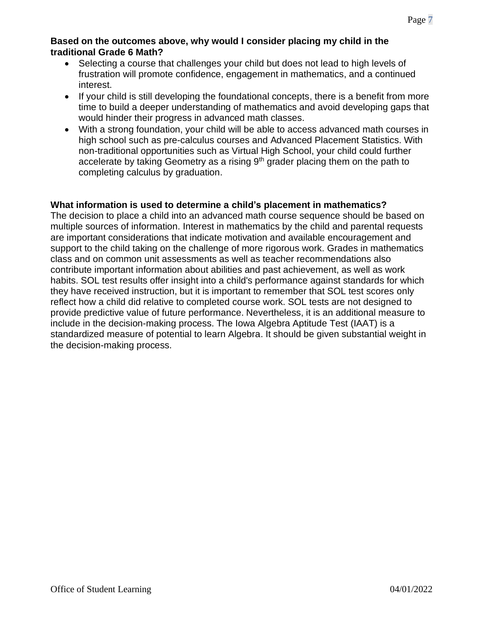#### **Based on the outcomes above, why would I consider placing my child in the traditional Grade 6 Math?**

- Selecting a course that challenges your child but does not lead to high levels of frustration will promote confidence, engagement in mathematics, and a continued interest.
- If your child is still developing the foundational concepts, there is a benefit from more time to build a deeper understanding of mathematics and avoid developing gaps that would hinder their progress in advanced math classes.
- With a strong foundation, your child will be able to access advanced math courses in high school such as pre-calculus courses and Advanced Placement Statistics. With non-traditional opportunities such as Virtual High School, your child could further accelerate by taking Geometry as a rising  $9<sup>th</sup>$  grader placing them on the path to completing calculus by graduation.

# **What information is used to determine a child's placement in mathematics?**

The decision to place a child into an advanced math course sequence should be based on multiple sources of information. Interest in mathematics by the child and parental requests are important considerations that indicate motivation and available encouragement and support to the child taking on the challenge of more rigorous work. Grades in mathematics class and on common unit assessments as well as teacher recommendations also contribute important information about abilities and past achievement, as well as work habits. SOL test results offer insight into a child's performance against standards for which they have received instruction, but it is important to remember that SOL test scores only reflect how a child did relative to completed course work. SOL tests are not designed to provide predictive value of future performance. Nevertheless, it is an additional measure to include in the decision-making process. The Iowa Algebra Aptitude Test (IAAT) is a standardized measure of potential to learn Algebra. It should be given substantial weight in the decision-making process.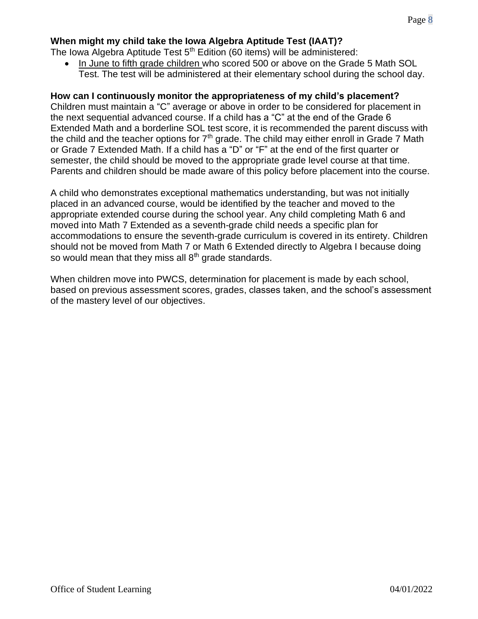# **When might my child take the Iowa Algebra Aptitude Test (IAAT)?**

The Iowa Algebra Aptitude Test  $5<sup>th</sup>$  Edition (60 items) will be administered:

• In June to fifth grade children who scored 500 or above on the Grade 5 Math SOL Test. The test will be administered at their elementary school during the school day.

### **How can I continuously monitor the appropriateness of my child's placement?**

Children must maintain a "C" average or above in order to be considered for placement in the next sequential advanced course. If a child has a "C" at the end of the Grade 6 Extended Math and a borderline SOL test score, it is recommended the parent discuss with the child and the teacher options for  $7<sup>th</sup>$  grade. The child may either enroll in Grade 7 Math or Grade 7 Extended Math. If a child has a "D" or "F" at the end of the first quarter or semester, the child should be moved to the appropriate grade level course at that time. Parents and children should be made aware of this policy before placement into the course.

A child who demonstrates exceptional mathematics understanding, but was not initially placed in an advanced course, would be identified by the teacher and moved to the appropriate extended course during the school year. Any child completing Math 6 and moved into Math 7 Extended as a seventh-grade child needs a specific plan for accommodations to ensure the seventh-grade curriculum is covered in its entirety. Children should not be moved from Math 7 or Math 6 Extended directly to Algebra I because doing so would mean that they miss all  $8<sup>th</sup>$  grade standards.

When children move into PWCS, determination for placement is made by each school, based on previous assessment scores, grades, classes taken, and the school's assessment of the mastery level of our objectives.